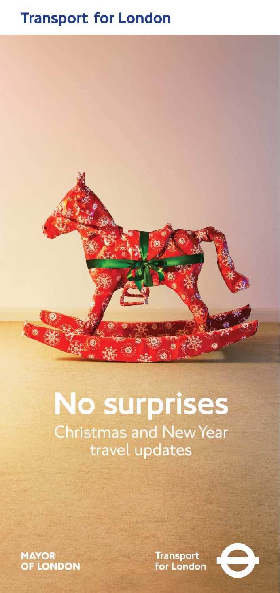# **Transport for London**



# **No surprises Christmas and New Year**

travel updates

**MAYOR** OF LONDON **Transport** for London

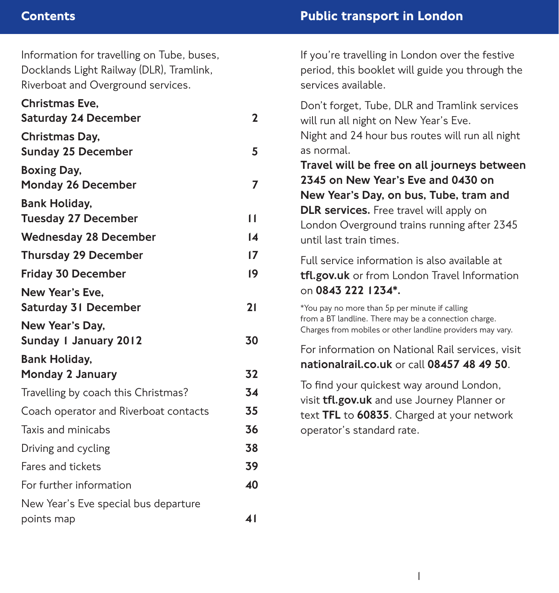#### **Contents**

services available.

If you're travelling in London over the festive period, this booklet will guide you through the

Information for travelling on Tube, buses, Docklands Light Railway (DLR), Tramlink, Riverboat and Overground services.

| <b>Christmas Eve.</b>                 |                 | Don't forget, Tube, DLR and Tramlink services                                                                                         |
|---------------------------------------|-----------------|---------------------------------------------------------------------------------------------------------------------------------------|
| <b>Saturday 24 December</b>           | $\overline{2}$  | will run all night on New Year's Eve.                                                                                                 |
| Christmas Day,                        |                 | Night and 24 hour bus routes will run all night                                                                                       |
| <b>Sunday 25 December</b>             | 5               | as normal.                                                                                                                            |
| <b>Boxing Day,</b>                    |                 | Travel will be free on all journeys between                                                                                           |
| <b>Monday 26 December</b>             | $\overline{7}$  | 2345 on New Year's Eve and 0430 on                                                                                                    |
| <b>Bank Holiday,</b>                  |                 | New Year's Day, on bus, Tube, tram and                                                                                                |
| <b>Tuesday 27 December</b>            | $\blacksquare$  | <b>DLR services.</b> Free travel will apply on                                                                                        |
| <b>Wednesday 28 December</b>          | $\overline{14}$ | London Overground trains running after 2345<br>until last train times.                                                                |
| <b>Thursday 29 December</b>           | 17              |                                                                                                                                       |
|                                       |                 | Full service information is also available at                                                                                         |
| <b>Friday 30 December</b>             | 19              | tfl.gov.uk or from London Travel Information                                                                                          |
| New Year's Eve.                       |                 | on 0843 222 1234*.                                                                                                                    |
| <b>Saturday 31 December</b>           | 21              | *You pay no more than 5p per minute if calling<br>from a BT landline. There may be a connection charge.                               |
| New Year's Day,                       |                 | Charges from mobiles or other landline providers may vary.                                                                            |
| Sunday 1 January 2012                 | 30              | For information on National Rail services, visit                                                                                      |
| <b>Bank Holiday,</b>                  |                 | nationalrail.co.uk or call 08457 48 49 50.                                                                                            |
| <b>Monday 2 January</b>               | 32              | To find your quickest way around London,<br>visit tfl.gov.uk and use Journey Planner or<br>text TFL to 60835. Charged at your network |
| Travelling by coach this Christmas?   | 34              |                                                                                                                                       |
| Coach operator and Riverboat contacts | 35              |                                                                                                                                       |
| Taxis and minicabs                    | 36              | operator's standard rate.                                                                                                             |
| Driving and cycling                   | 38              |                                                                                                                                       |
| Fares and tickets                     | 39              |                                                                                                                                       |
| For further information               | 40              |                                                                                                                                       |
| New Year's Eve special bus departure  |                 |                                                                                                                                       |
| points map                            | 41              |                                                                                                                                       |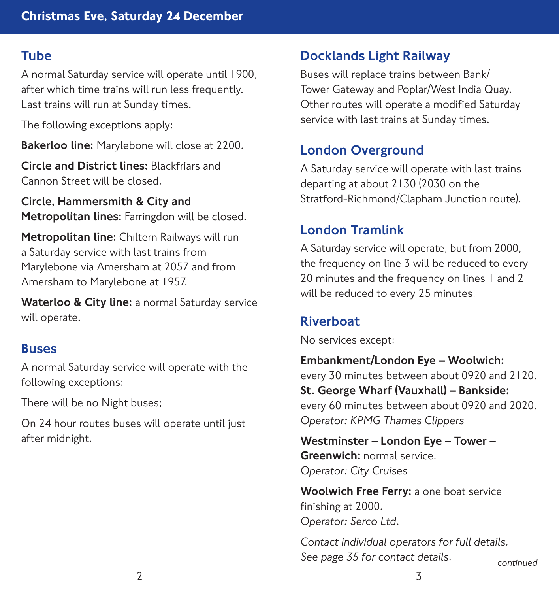#### Tube

A normal Saturday service will operate until 1900, after which time trains will run less frequently. Last trains will run at Sunday times.

The following exceptions apply:

Bakerloo line: Marylebone will close at 2200.

Circle and District lines: Blackfriars and Cannon Street will be closed.

Circle, Hammersmith & City and Metropolitan lines: Farringdon will be closed.

Metropolitan line: Chiltern Railways will run a Saturday service with last trains from Marylebone via Amersham at 2057 and from Amersham to Marylebone at 1957.

Waterloo & City line: a normal Saturday service will operate.

#### **Buses**

A normal Saturday service will operate with the following exceptions:

There will be no Night buses;

On 24 hour routes buses will operate until just after midnight.

# Docklands Light Railway

Buses will replace trains between Bank/ Tower Gateway and Poplar/West India Quay. Other routes will operate a modified Saturday service with last trains at Sunday times.

# London Overground

A Saturday service will operate with last trains departing at about 2130 (2030 on the Stratford-Richmond/Clapham Junction route).

# London Tramlink

A Saturday service will operate, but from 2000, the frequency on line 3 will be reduced to every 20 minutes and the frequency on lines 1 and 2 will be reduced to every 25 minutes.

# Riverboat

No services except:

Embankment/London Eye – Woolwich: every 30 minutes between about 0920 and 2120. St. George Wharf (Vauxhall) – Bankside: every 60 minutes between about 0920 and 2020. *Operator: KPMG Thames Clippers*

Westminster – London Eye – Tower – Greenwich: normal service. *Operator: City Cruises*

Woolwich Free Ferry: a one boat service finishing at 2000. *Operator: Serco Ltd.*

*Contact individual operators for full details. See page 35 for contact details. continued*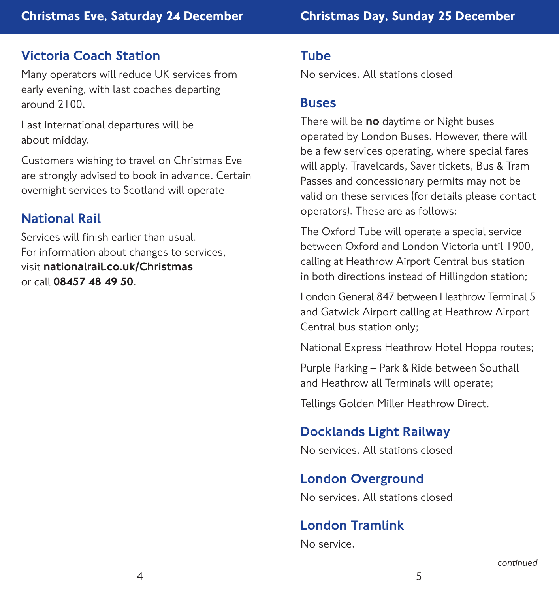# Victoria Coach Station

Many operators will reduce UK services from early evening, with last coaches departing around 2100.

Last international departures will be about midday.

Customers wishing to travel on Christmas Eve are strongly advised to book in advance. Certain overnight services to Scotland will operate.

# National Rail

Services will finish earlier than usual. For information about changes to services, visit nationalrail.co.uk/Christmas or call 08457 48 49 50.

#### Tube

No services. All stations closed.

#### **Buses**

There will be no daytime or Night buses operated by London Buses. However, there will be a few services operating, where special fares will apply. Travelcards, Saver tickets, Bus & Tram Passes and concessionary permits may not be valid on these services (for details please contact operators). These are as follows:

The Oxford Tube will operate a special service between Oxford and London Victoria until 1900, calling at Heathrow Airport Central bus station in both directions instead of Hillingdon station;

London General 847 between Heathrow Terminal 5 and Gatwick Airport calling at Heathrow Airport Central bus station only;

National Express Heathrow Hotel Hoppa routes;

5

Purple Parking – Park & Ride between Southall and Heathrow all Terminals will operate;

Tellings Golden Miller Heathrow Direct.

# Docklands Light Railway

No services. All stations closed.

# London Overground

No services. All stations closed.

# London Tramlink

No service.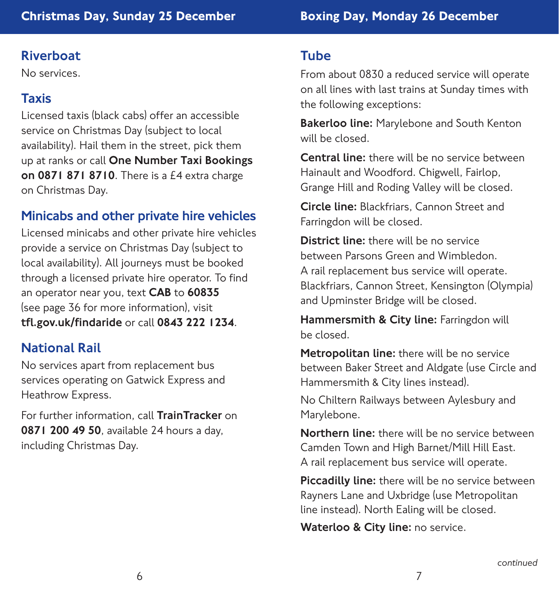### Riverboat

No services.

### Taxis

Licensed taxis (black cabs) offer an accessible service on Christmas Day (subject to local availability). Hail them in the street, pick them up at ranks or call One Number Taxi Bookings on 0871 871 8710. There is a £4 extra charge on Christmas Day.

# Minicabs and other private hire vehicles

Licensed minicabs and other private hire vehicles provide a service on Christmas Day (subject to local availability). All journeys must be booked through a licensed private hire operator. To find an operator near you, text CAB to 60835 (see page 36 for more information), visit tfl.gov.uk/findaride or call 0843 222 1234.

# National Rail

No services apart from replacement bus services operating on Gatwick Express and Heathrow Express.

For further information, call TrainTracker on 0871 200 49 50, available 24 hours a day, including Christmas Day.

#### Tube

From about 0830 a reduced service will operate on all lines with last trains at Sunday times with the following exceptions:

Bakerloo line: Marylebone and South Kenton will be closed.

Central line: there will be no service between Hainault and Woodford. Chigwell, Fairlop, Grange Hill and Roding Valley will be closed.

Circle line: Blackfriars, Cannon Street and Farringdon will be closed.

District line: there will be no service between Parsons Green and Wimbledon. A rail replacement bus service will operate. Blackfriars, Cannon Street, Kensington (Olympia) and Upminster Bridge will be closed.

Hammersmith & City line: Farringdon will be closed.

Metropolitan line: there will be no service between Baker Street and Aldgate (use Circle and Hammersmith & City lines instead).

No Chiltern Railways between Aylesbury and Marylebone.

Northern line: there will be no service between Camden Town and High Barnet/Mill Hill East. A rail replacement bus service will operate.

Piccadilly line: there will be no service between Rayners Lane and Uxbridge (use Metropolitan line instead). North Ealing will be closed.

7

Waterloo & City line: no service.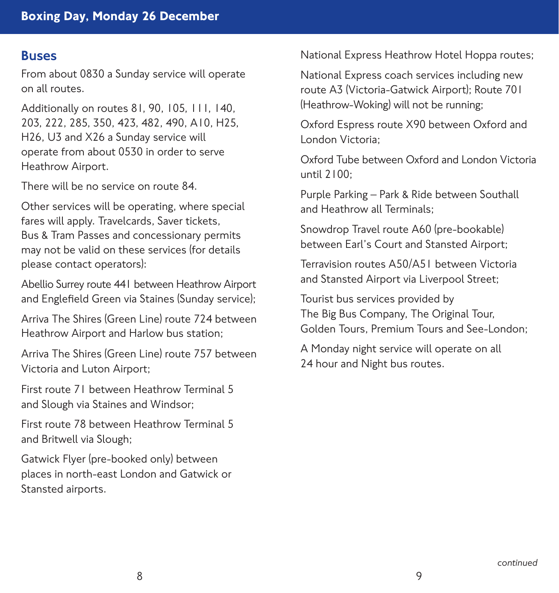#### **Buses**

From about 0830 a Sunday service will operate on all routes.

Additionally on routes 81, 90, 105, 111, 140, 203, 222, 285, 350, 423, 482, 490, A10, H25, H26, U3 and X26 a Sunday service will operate from about 0530 in order to serve Heathrow Airport.

There will be no service on route 84.

Other services will be operating, where special fares will apply. Travelcards, Saver tickets, Bus & Tram Passes and concessionary permits may not be valid on these services (for details please contact operators):

Abellio Surrey route 441 between Heathrow Airport and Englefield Green via Staines (Sunday service);

Arriva The Shires (Green Line) route 724 between Heathrow Airport and Harlow bus station;

Arriva The Shires (Green Line) route 757 between Victoria and Luton Airport;

First route 71 between Heathrow Terminal 5 and Slough via Staines and Windsor;

First route 78 between Heathrow Terminal 5 and Britwell via Slough;

Gatwick Flyer (pre-booked only) between places in north-east London and Gatwick or Stansted airports.

National Express Heathrow Hotel Hoppa routes;

National Express coach services including new route A3 (Victoria-Gatwick Airport); Route 701 (Heathrow-Woking) will not be running;

Oxford Espress route X90 between Oxford and London Victoria;

Oxford Tube between Oxford and London Victoria until 2100;

Purple Parking – Park & Ride between Southall and Heathrow all Terminals;

Snowdrop Travel route A60 (pre-bookable) between Earl's Court and Stansted Airport;

Terravision routes A50/A51 between Victoria and Stansted Airport via Liverpool Street;

Tourist bus services provided by The Big Bus Company, The Original Tour, Golden Tours, Premium Tours and See-London;

9

A Monday night service will operate on all 24 hour and Night bus routes.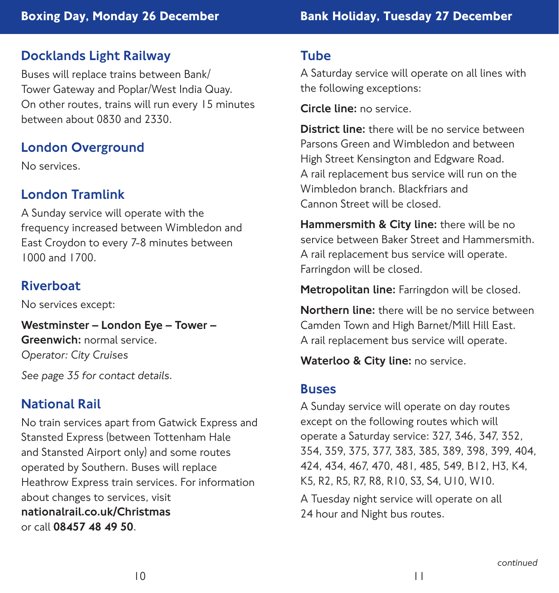#### **Bank Holiday, Tuesday 27 December**

# Docklands Light Railway

Buses will replace trains between Bank/ Tower Gateway and Poplar/West India Quay. On other routes, trains will run every 15 minutes between about 0830 and 2330.

# London Overground

No services.

# London Tramlink

A Sunday service will operate with the frequency increased between Wimbledon and East Croydon to every 7-8 minutes between 1000 and 1700.

# Riverboat

No services except:

Westminster – London Eye – Tower – Greenwich: normal service. *Operator: City Cruises*

*See page 35 for contact details.*

# National Rail

No train services apart from Gatwick Express and Stansted Express (between Tottenham Hale and Stansted Airport only) and some routes operated by Southern. Buses will replace Heathrow Express train services. For information about changes to services, visit nationalrail.co.uk/Christmas or call 08457 48 49 50.

#### Tube

A Saturday service will operate on all lines with the following exceptions:

Circle line: no service.

District line: there will be no service between Parsons Green and Wimbledon and between High Street Kensington and Edgware Road. A rail replacement bus service will run on the Wimbledon branch. Blackfriars and Cannon Street will be closed.

Hammersmith & City line: there will be no service between Baker Street and Hammersmith. A rail replacement bus service will operate. Farringdon will be closed.

Metropolitan line: Farringdon will be closed.

Northern line: there will be no service between Camden Town and High Barnet/Mill Hill East. A rail replacement bus service will operate.

Waterloo & City line: no service.

## **Buses**

A Sunday service will operate on day routes except on the following routes which will operate a Saturday service: 327, 346, 347, 352, 354, 359, 375, 377, 383, 385, 389, 398, 399, 404, 424, 434, 467, 470, 481, 485, 549, B12, H3, K4, K5, R2, R5, R7, R8, R10, S3, S4, U10, W10.

A Tuesday night service will operate on all 24 hour and Night bus routes.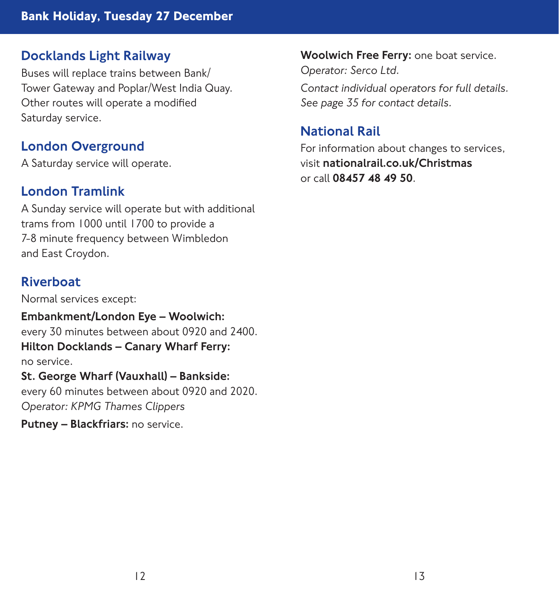## Docklands Light Railway

Buses will replace trains between Bank/ Tower Gateway and Poplar/West India Quay. Other routes will operate a modified Saturday service.

## London Overground

A Saturday service will operate.

## London Tramlink

A Sunday service will operate but with additional trams from 1000 until 1700 to provide a 7-8 minute frequency between Wimbledon and East Croydon.

## Riverboat

Normal services except:

Embankment/London Eye – Woolwich: every 30 minutes between about 0920 and 2400. Hilton Docklands – Canary Wharf Ferry: no service.

St. George Wharf (Vauxhall) – Bankside: every 60 minutes between about 0920 and 2020. *Operator: KPMG Thames Clippers*

Putney - Blackfriars: no service.

Woolwich Free Ferry: one boat service. *Operator: Serco Ltd.*

*Contact individual operators for full details. See page 35 for contact details.*

# National Rail

For information about changes to services, visit nationalrail.co.uk/Christmas or call 08457 48 49 50.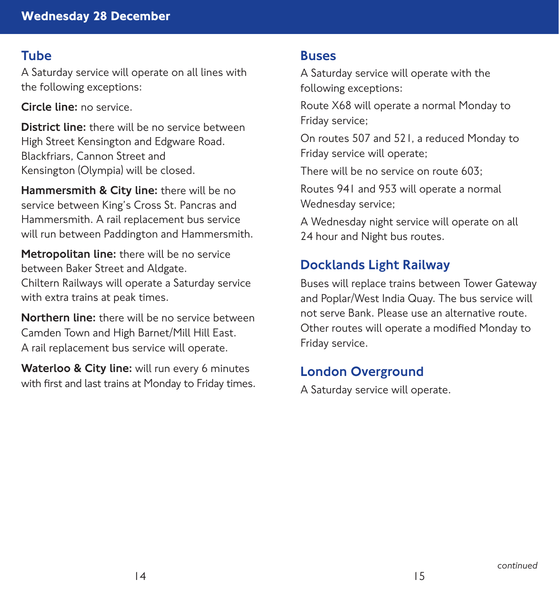#### Tube

A Saturday service will operate on all lines with the following exceptions:

Circle line: no service.

District line: there will be no service between High Street Kensington and Edgware Road. Blackfriars, Cannon Street and Kensington (Olympia) will be closed.

Hammersmith & City line: there will be no service between King's Cross St. Pancras and Hammersmith. A rail replacement bus service will run between Paddington and Hammersmith.

Metropolitan line: there will be no service between Baker Street and Aldgate. Chiltern Railways will operate a Saturday service with extra trains at peak times.

Northern line: there will be no service between Camden Town and High Barnet/Mill Hill East. A rail replacement bus service will operate.

Waterloo & City line: will run every 6 minutes with first and last trains at Monday to Friday times.

#### **Buses**

A Saturday service will operate with the following exceptions:

Route X68 will operate a normal Monday to Friday service;

On routes 507 and 521, a reduced Monday to Friday service will operate;

There will be no service on route 603;

Routes 941 and 953 will operate a normal Wednesday service;

A Wednesday night service will operate on all 24 hour and Night bus routes.

# Docklands Light Railway

Buses will replace trains between Tower Gateway and Poplar/West India Quay. The bus service will not serve Bank. Please use an alternative route. Other routes will operate a modified Monday to Friday service.

# London Overground

A Saturday service will operate.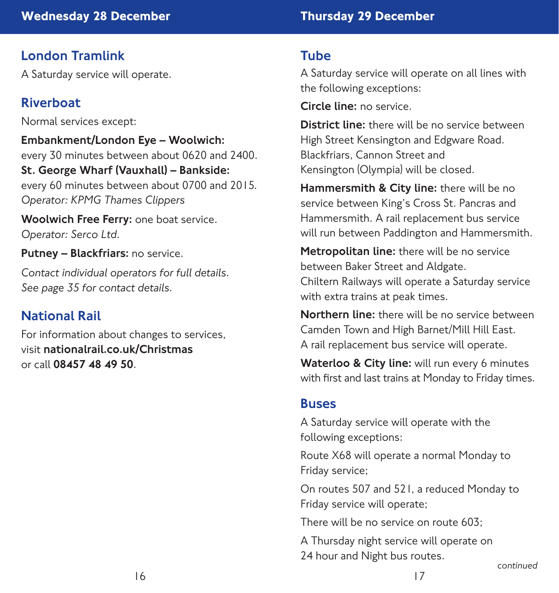#### **Thursday 29 December**

# London Tramlink

A Saturday service will operate.

# Riverboat

Normal services except:

Embankment/London Eye – Woolwich: every 30 minutes between about 0620 and 2400. St. George Wharf (Vauxhall) – Bankside: every 60 minutes between about 0700 and 2015. *Operator: KPMG Thames Clippers*

Woolwich Free Ferry: one boat service. *Operator: Serco Ltd.*

Putney – Blackfriars: no service.

*Contact individual operators for full details. See page 35 for contact details.*

# National Rail

For information about changes to services, visit nationalrail.co.uk/Christmas or call 08457 48 49 50.

#### Tube

A Saturday service will operate on all lines with the following exceptions:

Circle line: no service.

District line: there will be no service between High Street Kensington and Edgware Road. Blackfriars, Cannon Street and Kensington (Olympia) will be closed.

Hammersmith & City line: there will be no service between King's Cross St. Pancras and Hammersmith. A rail replacement bus service will run between Paddington and Hammersmith.

Metropolitan line: there will be no service between Baker Street and Aldgate. Chiltern Railways will operate a Saturday service with extra trains at peak times.

Northern line: there will be no service between Camden Town and High Barnet/Mill Hill East. A rail replacement bus service will operate.

Waterloo & City line: will run every 6 minutes with first and last trains at Monday to Friday times.

# Buses

A Saturday service will operate with the following exceptions:

Route X68 will operate a normal Monday to Friday service;

On routes 507 and 521, a reduced Monday to Friday service will operate;

There will be no service on route 603;

A Thursday night service will operate on 24 hour and Night bus routes.

*continued*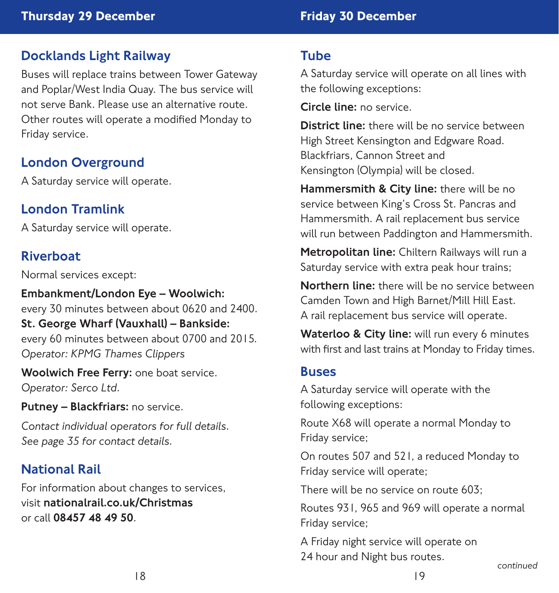#### **Friday 30 December**

# Docklands Light Railway

Buses will replace trains between Tower Gateway and Poplar/West India Quay. The bus service will not serve Bank. Please use an alternative route. Other routes will operate a modified Monday to Friday service.

# London Overground

A Saturday service will operate.

# London Tramlink

A Saturday service will operate.

# Riverboat

Normal services except:

Embankment/London Eye – Woolwich: every 30 minutes between about 0620 and 2400. St. George Wharf (Vauxhall) – Bankside: every 60 minutes between about 0700 and 2015. *Operator: KPMG Thames Clippers*

Woolwich Free Ferry: one boat service. *Operator: Serco Ltd.*

Putney - Blackfriars: no service.

*Contact individual operators for full details. See page 35 for contact details.*

# National Rail

For information about changes to services, visit nationalrail.co.uk/Christmas or call 08457 48 49 50.

#### Tube

A Saturday service will operate on all lines with the following exceptions:

Circle line: no service.

District line: there will be no service between High Street Kensington and Edgware Road. Blackfriars, Cannon Street and Kensington (Olympia) will be closed.

Hammersmith & City line: there will be no service between King's Cross St. Pancras and Hammersmith. A rail replacement bus service will run between Paddington and Hammersmith.

Metropolitan line: Chiltern Railways will run a Saturday service with extra peak hour trains;

Northern line: there will be no service between Camden Town and High Barnet/Mill Hill East. A rail replacement bus service will operate.

Waterloo & City line: will run every 6 minutes with first and last trains at Monday to Friday times.

## **Buses**

A Saturday service will operate with the following exceptions:

Route X68 will operate a normal Monday to Friday service;

On routes 507 and 521, a reduced Monday to Friday service will operate;

There will be no service on route 603;

Routes 931, 965 and 969 will operate a normal Friday service;

A Friday night service will operate on 24 hour and Night bus routes.

*continued*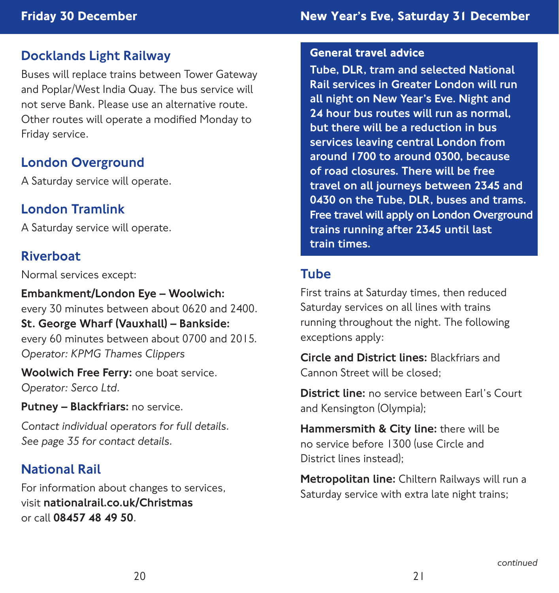#### Docklands Light Railway

Buses will replace trains between Tower Gateway and Poplar/West India Quay. The bus service will not serve Bank. Please use an alternative route. Other routes will operate a modified Monday to Friday service.

## London Overground

A Saturday service will operate.

# London Tramlink

A Saturday service will operate.

# Riverboat

Normal services except:

Embankment/London Eye – Woolwich: every 30 minutes between about 0620 and 2400. St. George Wharf (Vauxhall) – Bankside: every 60 minutes between about 0700 and 2015. *Operator: KPMG Thames Clippers*

Woolwich Free Ferry: one boat service. *Operator: Serco Ltd.*

Putney – Blackfriars: no service*.*

*Contact individual operators for full details. See page 35 for contact details.*

# National Rail

For information about changes to services, visit nationalrail.co.uk/Christmas or call 08457 48 49 50.

#### **General travel advice**

Tube, DLR, tram and selected National Rail services in Greater London will run all night on New Year's Eve. Night and 24 hour bus routes will run as normal. but there will be a reduction in bus services leaving central London from around 1700 to around 0300, because of road closures. There will be free travel on all journeys between 2345 and 0430 on the Tube, DLR, buses and trams. Free travel will apply on London Overground trains running after 2345 until last train times.

## Tube

First trains at Saturday times, then reduced Saturday services on all lines with trains running throughout the night. The following exceptions apply:

Circle and District lines: Blackfriars and Cannon Street will be closed;

District line: no service between Earl's Court and Kensington (Olympia);

Hammersmith & City line: there will be no service before 1300 (use Circle and District lines instead);

Metropolitan line: Chiltern Railways will run a Saturday service with extra late night trains;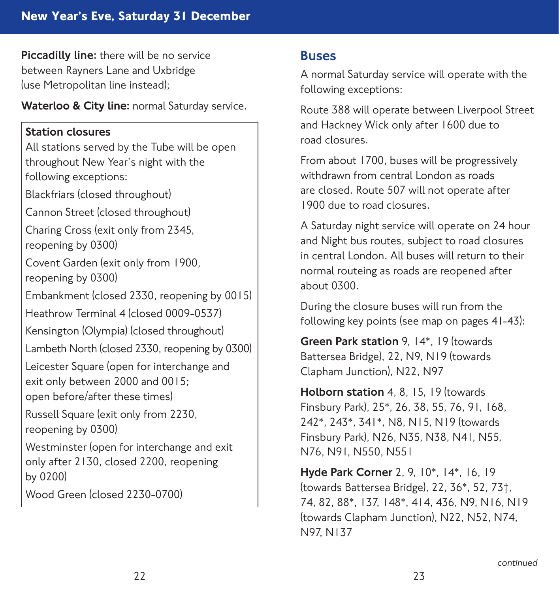Piccadilly line: there will be no service between Rayners Lane and Uxbridge (use Metropolitan line instead);

Waterloo & City line: normal Saturday service.

#### Station closures

All stations served by the Tube will be open throughout New Year's night with the following exceptions:

Blackfriars (closed throughout)

Cannon Street (closed throughout)

Charing Cross (exit only from 2345, reopening by 0300)

Covent Garden (exit only from 1900, reopening by 0300)

Embankment (closed 2330, reopening by 0015)

Heathrow Terminal 4 (closed 0009-0537)

Kensington (Olympia) (closed throughout)

Lambeth North (closed 2330, reopening by 0300)

Leicester Square (open for interchange and exit only between 2000 and 0015; open before/after these times)

Russell Square (exit only from 2230, reopening by 0300)

Westminster (open for interchange and exit only after 2130, closed 2200, reopening by 0200)

Wood Green (closed 2230-0700)

#### **Buses**

A normal Saturday service will operate with the following exceptions:

Route 388 will operate between Liverpool Street and Hackney Wick only after 1600 due to road closures.

From about 1700, buses will be progressively withdrawn from central London as roads are closed. Route 507 will not operate after 1900 due to road closures.

A Saturday night service will operate on 24 hour and Night bus routes, subject to road closures in central London. All buses will return to their normal routeing as roads are reopened after about 0300.

During the closure buses will run from the following key points (see map on pages 41-43):

Green Park station 9, 14\*, 19 (towards Battersea Bridge), 22, N9, N19 (towards Clapham Junction), N22, N97

Holborn station 4, 8, 15, 19 (towards) Finsbury Park), 25\*, 26, 38, 55, 76, 91, 168, 242\*, 243\*, 341\*, N8, N15, N19 (towards Finsbury Park), N26, N35, N38, N41, N55, N76, N91, N550, N551

Hyde Park Corner 2, 9, 10\*, 14\*, 16, 19 (towards Battersea Bridge), 22, 36\*, 52, 73†, 74, 82, 88\*, 137, 148\*, 414, 436, N9, N16, N19 (towards Clapham Junction), N22, N52, N74, N97, N137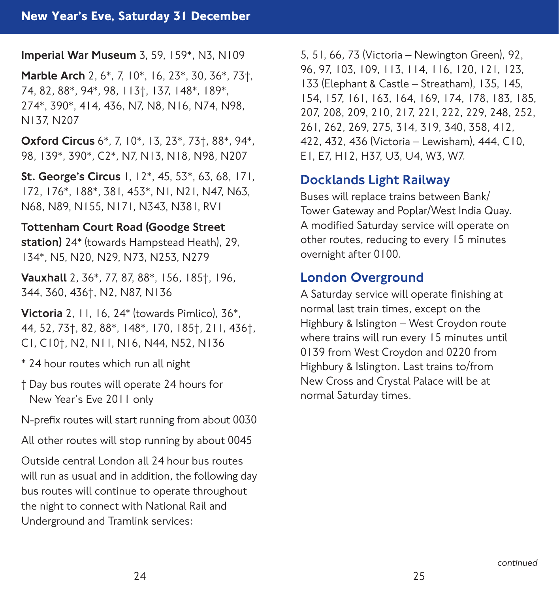#### Imperial War Museum 3, 59, 159\*, N3, N109

Marble Arch 2, 6\*, 7, 10\*, 16, 23\*, 30, 36\*, 73†, 74, 82, 88\*, 94\*, 98, 113†, 137, 148\*, 189\*, 274\*, 390\*, 414, 436, N7, N8, N16, N74, N98, N137, N207

Oxford Circus 6\*, 7, 10\*, 13, 23\*, 73†, 88\*, 94\*, 98, 139\*, 390\*, C2\*, N7, N13, N18, N98, N207

St. George's Circus 1, 12\*, 45, 53\*, 63, 68, 171, 172, 176\*, 188\*, 381, 453\*, N1, N21, N47, N63, N68, N89, N155, N171, N343, N381, RV1

#### Tottenham Court Road (Goodge Street

station) 24\* (towards Hampstead Heath), 29, 134\*, N5, N20, N29, N73, N253, N279

Vauxhall 2, 36\*, 77, 87, 88\*, 156, 185†, 196, 344, 360, 436†, N2, N87, N136

Victoria 2, 11, 16, 24\* (towards Pimlico), 36\*, 44, 52, 73†, 82, 88\*, 148\*, 170, 185†, 211, 436†, C1, C10†, N2, N11, N16, N44, N52, N136

\* 24 hour routes which run all night

† Day bus routes will operate 24 hours for New Year's Eve 2011 only

N-prefix routes will start running from about 0030

All other routes will stop running by about 0045

Outside central London all 24 hour bus routes will run as usual and in addition, the following day bus routes will continue to operate throughout the night to connect with National Rail and Underground and Tramlink services:

5, 51, 66, 73 (Victoria – Newington Green), 92, 96, 97, 103, 109, 113, 114, 116, 120, 121, 123, 133 (Elephant & Castle – Streatham), 135, 145, 154, 157, 161, 163, 164, 169, 174, 178, 183, 185, 207, 208, 209, 210, 217, 221, 222, 229, 248, 252, 261, 262, 269, 275, 314, 319, 340, 358, 412, 422, 432, 436 (Victoria – Lewisham), 444, C10, E1, E7, H12, H37, U3, U4, W3, W7.

#### Docklands Light Railway

Buses will replace trains between Bank/ Tower Gateway and Poplar/West India Quay. A modified Saturday service will operate on other routes, reducing to every 15 minutes overnight after 0100.

#### London Overground

A Saturday service will operate finishing at normal last train times, except on the Highbury & Islington – West Croydon route where trains will run every 15 minutes until 0139 from West Croydon and 0220 from Highbury & Islington. Last trains to/from New Cross and Crystal Palace will be at normal Saturday times.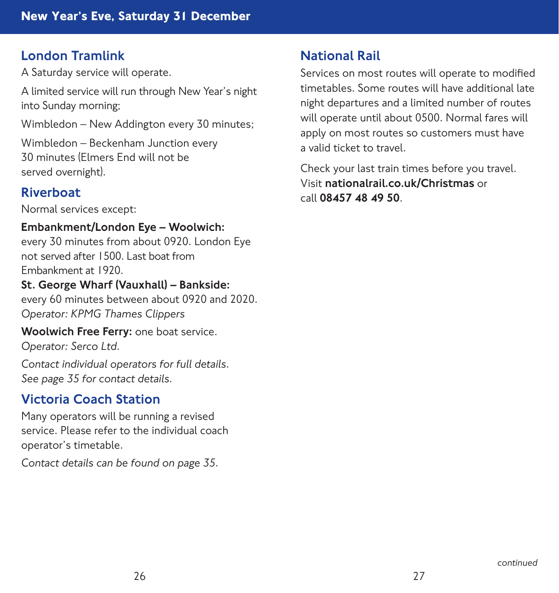## London Tramlink

A Saturday service will operate.

A limited service will run through New Year's night into Sunday morning;

Wimbledon – New Addington every 30 minutes;

Wimbledon – Beckenham Junction every 30 minutes (Elmers End will not be served overnight).

# **Riverboat**

Normal services except:

Embankment/London Eye – Woolwich: every 30 minutes from about 0920. London Eye not served after 1500. Last boat from Embankment at 1920.

St. George Wharf (Vauxhall) – Bankside: every 60 minutes between about 0920 and 2020. *Operator: KPMG Thames Clippers*

Woolwich Free Ferry: one boat service. *Operator: Serco Ltd.*

*Contact individual operators for full details. See page 35 for contact details.*

# Victoria Coach Station

Many operators will be running a revised service. Please refer to the individual coach operator's timetable.

*Contact details can be found on page 35.*

# National Rail

Services on most routes will operate to modified timetables. Some routes will have additional late night departures and a limited number of routes will operate until about 0500. Normal fares will apply on most routes so customers must have a valid ticket to travel.

Check your last train times before you travel. Visit nationalrail.co.uk/Christmas or call 08457 48 49 50.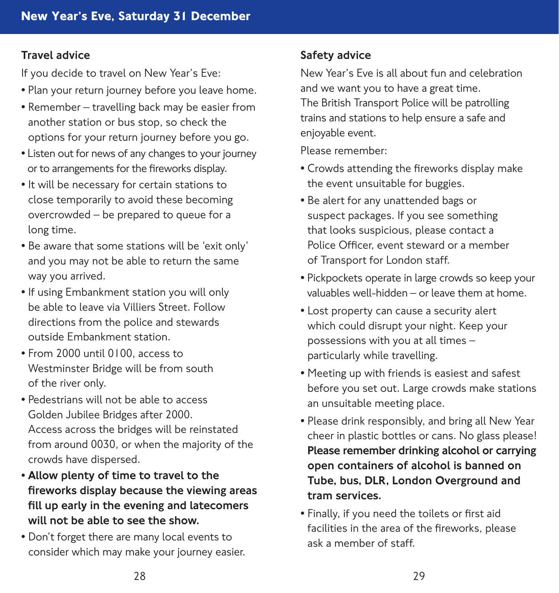#### Travel advice

If you decide to travel on New Year's Eve:

- Plan your return journey before you leave home.
- Remember travelling back may be easier from another station or bus stop, so check the options for your return journey before you go.
- Listen out for news of any changes to your journey or to arrangements for the fireworks display.
- It will be necessary for certain stations to close temporarily to avoid these becoming overcrowded – be prepared to queue for a long time.
- Be aware that some stations will be 'exit only' and you may not be able to return the same way you arrived.
- If using Embankment station you will only be able to leave via Villiers Street. Follow directions from the police and stewards outside Embankment station.
- From 2000 until 0100, access to Westminster Bridge will be from south of the river only.
- Pedestrians will not be able to access Golden Jubilee Bridges after 2000. Access across the bridges will be reinstated from around 0030, or when the majority of the crowds have dispersed.
- Allow plenty of time to travel to the fireworks display because the viewing areas fill up early in the evening and latecomers will not be able to see the show.
- Don't forget there are many local events to consider which may make your journey easier.

### Safety advice

New Year's Eve is all about fun and celebration and we want you to have a great time. The British Transport Police will be patrolling trains and stations to help ensure a safe and enjoyable event.

Please remember:

- Crowds attending the fireworks display make the event unsuitable for buggies.
- Be alert for any unattended bags or suspect packages. If you see something that looks suspicious, please contact a Police Officer, event steward or a member of Transport for London staff.
- Pickpockets operate in large crowds so keep your valuables well-hidden – or leave them at home.
- Lost property can cause a security alert which could disrupt your night. Keep your possessions with you at all times – particularly while travelling.
- Meeting up with friends is easiest and safest before you set out. Large crowds make stations an unsuitable meeting place.
- Please drink responsibly, and bring all New Year cheer in plastic bottles or cans. No glass please! Please remember drinking alcohol or carrying open containers of alcohol is banned on Tube, bus, DLR, London Overground and tram services.
- Finally, if you need the toilets or first aid facilities in the area of the fireworks, please ask a member of staff.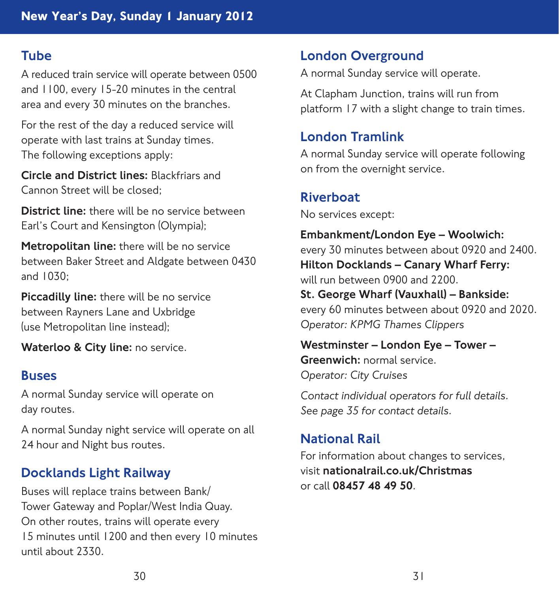#### Tube

A reduced train service will operate between 0500 and 1100, every 15-20 minutes in the central area and every 30 minutes on the branches.

For the rest of the day a reduced service will operate with last trains at Sunday times. The following exceptions apply:

Circle and District lines: Blackfriars and Cannon Street will be closed;

District line: there will be no service between Earl's Court and Kensington (Olympia);

Metropolitan line: there will be no service between Baker Street and Aldgate between 0430 and 1030;

Piccadilly line: there will be no service between Rayners Lane and Uxbridge (use Metropolitan line instead);

Waterloo & City line: no service.

#### **Buses**

A normal Sunday service will operate on day routes.

A normal Sunday night service will operate on all 24 hour and Night bus routes.

## Docklands Light Railway

Buses will replace trains between Bank/ Tower Gateway and Poplar/West India Quay. On other routes, trains will operate every 15 minutes until 1200 and then every 10 minutes until about 2330.

#### London Overground

A normal Sunday service will operate.

At Clapham Junction, trains will run from platform 17 with a slight change to train times.

### London Tramlink

A normal Sunday service will operate following on from the overnight service.

#### Riverboat

No services except:

Embankment/London Eye – Woolwich: every 30 minutes between about 0920 and 2400. Hilton Docklands – Canary Wharf Ferry: will run between 0900 and 2200.

St. George Wharf (Vauxhall) – Bankside: every 60 minutes between about 0920 and 2020. *Operator: KPMG Thames Clippers*

Westminster – London Eye – Tower – Greenwich: normal service. *Operator: City Cruises*

*Contact individual operators for full details. See page 35 for contact details.*

# National Rail

For information about changes to services, visit nationalrail.co.uk/Christmas or call 08457 48 49 50.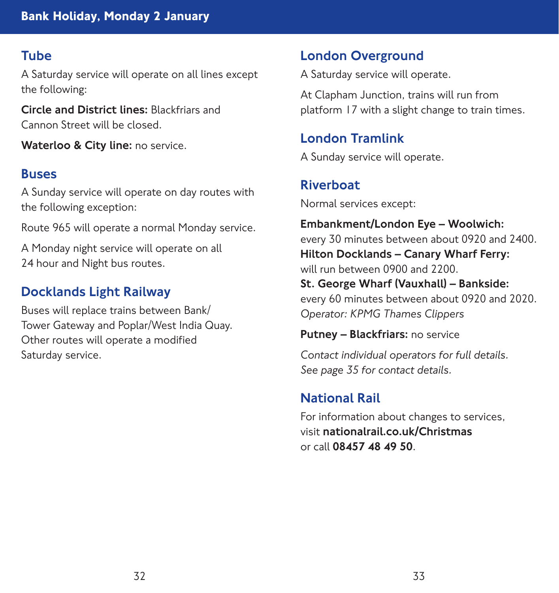#### **Tube**

A Saturday service will operate on all lines except the following:

Circle and District lines: Blackfriars and Cannon Street will be closed.

Waterloo & City line: no service.

#### **Buses**

A Sunday service will operate on day routes with the following exception:

Route 965 will operate a normal Monday service.

A Monday night service will operate on all 24 hour and Night bus routes.

# Docklands Light Railway

Buses will replace trains between Bank/ Tower Gateway and Poplar/West India Quay. Other routes will operate a modified Saturday service.

# London Overground

A Saturday service will operate.

At Clapham Junction, trains will run from platform 17 with a slight change to train times.

# London Tramlink

A Sunday service will operate.

# Riverboat

Normal services except:

Embankment/London Eye – Woolwich: every 30 minutes between about 0920 and 2400. Hilton Docklands – Canary Wharf Ferry: will run between 0900 and 2200. St. George Wharf (Vauxhall) – Bankside: every 60 minutes between about 0920 and 2020. *Operator: KPMG Thames Clippers*

Putney – Blackfriars: no service

*Contact individual operators for full details. See page 35 for contact details.*

# National Rail

For information about changes to services, visit nationalrail.co.uk/Christmas or call 08457 48 49 50.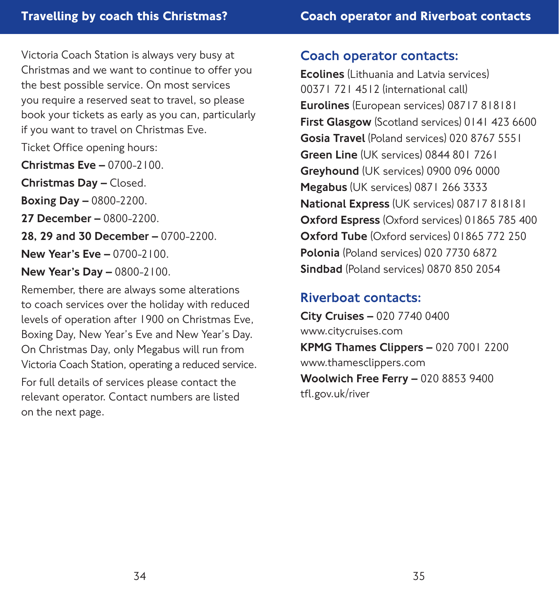Victoria Coach Station is always very busy at Christmas and we want to continue to offer you the best possible service. On most services you require a reserved seat to travel, so please book your tickets as early as you can, particularly if you want to travel on Christmas Eve.

Ticket Office opening hours:

Christmas Eve – 0700-2100.

Christmas Day – Closed.

Boxing Day – 0800-2200.

27 December – 0800-2200.

28, 29 and 30 December – 0700-2200. New Year's Eve – 0700-2100.

New Year's Day – 0800-2100.

Remember, there are always some alterations to coach services over the holiday with reduced levels of operation after 1900 on Christmas Eve, Boxing Day, New Year's Eve and New Year's Day. On Christmas Day, only Megabus will run from Victoria Coach Station, operating a reduced service.

For full details of services please contact the relevant operator. Contact numbers are listed on the next page.

#### Coach operator contacts:

Ecolines (Lithuania and Latvia services) 00371 721 4512 (international call) Eurolines (European services) 08717 818181 First Glasgow (Scotland services) 0141 423 6600 Gosia Travel (Poland services) 020 8767 5551 Green Line (UK services) 0844 801 7261 Greyhound (UK services) 0900 096 0000 Megabus (UK services) 0871 266 3333 National Express (UK services) 08717 818181 Oxford Espress (Oxford services) 01865 785 400 Oxford Tube (Oxford services) 01865 772 250 Polonia (Poland services) 020 7730 6872 Sindbad (Poland services) 0870 850 2054

#### Riverboat contacts:

City Cruises – 020 7740 0400 www.citycruises.com KPMG Thames Clippers – 020 7001 2200 www.thamesclippers.com Woolwich Free Ferry – 020 8853 9400 tfl.gov.uk/river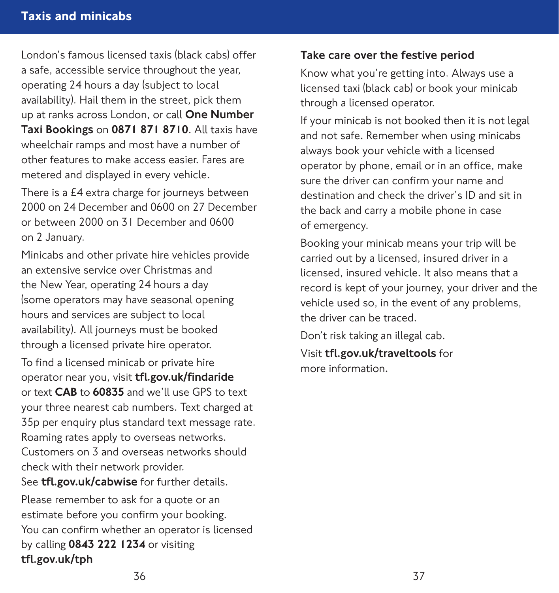London's famous licensed taxis (black cabs) offer a safe, accessible service throughout the year, operating 24 hours a day (subject to local availability). Hail them in the street, pick them up at ranks across London, or call One Number Taxi Bookings on 0871 871 8710. All taxis have wheelchair ramps and most have a number of other features to make access easier. Fares are metered and displayed in every vehicle.

There is a £4 extra charge for journeys between 2000 on 24 December and 0600 on 27 December or between 2000 on 31 December and 0600 on 2 January.

Minicabs and other private hire vehicles provide an extensive service over Christmas and the New Year, operating 24 hours a day (some operators may have seasonal opening hours and services are subject to local availability). All journeys must be booked through a licensed private hire operator.

To find a licensed minicab or private hire operator near you, visit tfl.gov.uk/findaride or text CAB to 60835 and we'll use GPS to text your three nearest cab numbers. Text charged at 35p per enquiry plus standard text message rate. Roaming rates apply to overseas networks. Customers on 3 and overseas networks should check with their network provider. See **tfl.gov.uk/cabwise** for further details. Please remember to ask for a quote or an

estimate before you confirm your booking. You can confirm whether an operator is licensed by calling 0843 222 1234 or visiting tfl.gov.uk/tph

#### Take care over the festive period

Know what you're getting into. Always use a licensed taxi (black cab) or book your minicab through a licensed operator.

If your minicab is not booked then it is not legal and not safe. Remember when using minicabs always book your vehicle with a licensed operator by phone, email or in an office, make sure the driver can confirm your name and destination and check the driver's ID and sit in the back and carry a mobile phone in case of emergency.

Booking your minicab means your trip will be carried out by a licensed, insured driver in a licensed, insured vehicle. It also means that a record is kept of your journey, your driver and the vehicle used so, in the event of any problems, the driver can be traced.

Don't risk taking an illegal cab.

Visit tfl.gov.uk/traveltools for more information.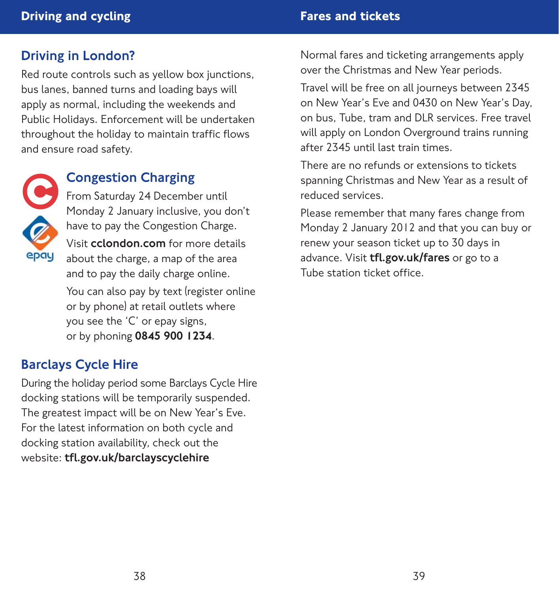#### **Fares and tickets**

# Driving in London?

Red route controls such as yellow box junctions, bus lanes, banned turns and loading bays will apply as normal, including the weekends and Public Holidays. Enforcement will be undertaken throughout the holiday to maintain traffic flows and ensure road safety.



# Congestion Charging

From Saturday 24 December until Monday 2 January inclusive, you don't have to pay the Congestion Charge.

Visit cclondon.com for more details about the charge, a map of the area and to pay the daily charge online.

You can also pay by text (register online or by phone) at retail outlets where you see the 'C' or epay signs, or by phoning 0845 900 1234.

#### Barclays Cycle Hire

During the holiday period some Barclays Cycle Hire docking stations will be temporarily suspended. The greatest impact will be on New Year's Eve. For the latest information on both cycle and docking station availability, check out the website: tfl.gov.uk/barclayscyclehire

Normal fares and ticketing arrangements apply over the Christmas and New Year periods.

Travel will be free on all journeys between 2345 on New Year's Eve and 0430 on New Year's Day, on bus, Tube, tram and DLR services. Free travel will apply on London Overground trains running after 2345 until last train times.

There are no refunds or extensions to tickets spanning Christmas and New Year as a result of reduced services.

Please remember that many fares change from Monday 2 January 2012 and that you can buy or renew your season ticket up to 30 days in advance. Visit tfl.gov.uk/fares or go to a Tube station ticket office.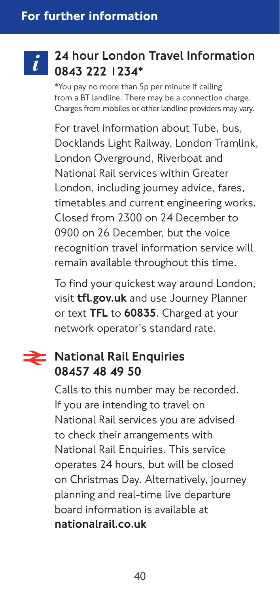# $\mathbf{i}$

### 24 hour London Travel Information 0843 222 1234\*

\*You pay no more than 5p per minute if calling from a BT landline. There may be a connection charge. Charges from mobiles or other landline providers may vary.

For travel information about Tube, bus, Docklands Light Railway, London Tramlink, London Overground, Riverboat and National Rail services within Greater London, including journey advice, fares, timetables and current engineering works. Closed from 2300 on 24 December to 0900 on 26 December, but the voice recognition travel information service will remain available throughout this time.

To find your quickest way around London, visit tfl.gov.uk and use Journey Planner or text TFL to 60835. Charged at your network operator's standard rate.

#### National Rail Enquiries 08457 48 49 50

Calls to this number may be recorded. If you are intending to travel on National Rail services you are advised to check their arrangements with National Rail Enquiries. This service operates 24 hours, but will be closed on Christmas Day. Alternatively, journey planning and real-time live departure board information is available at nationalrail.co.uk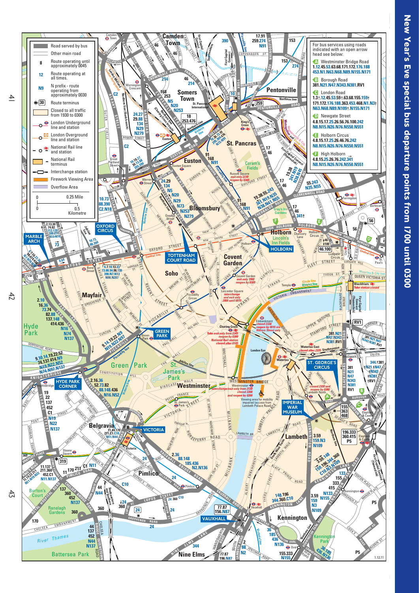